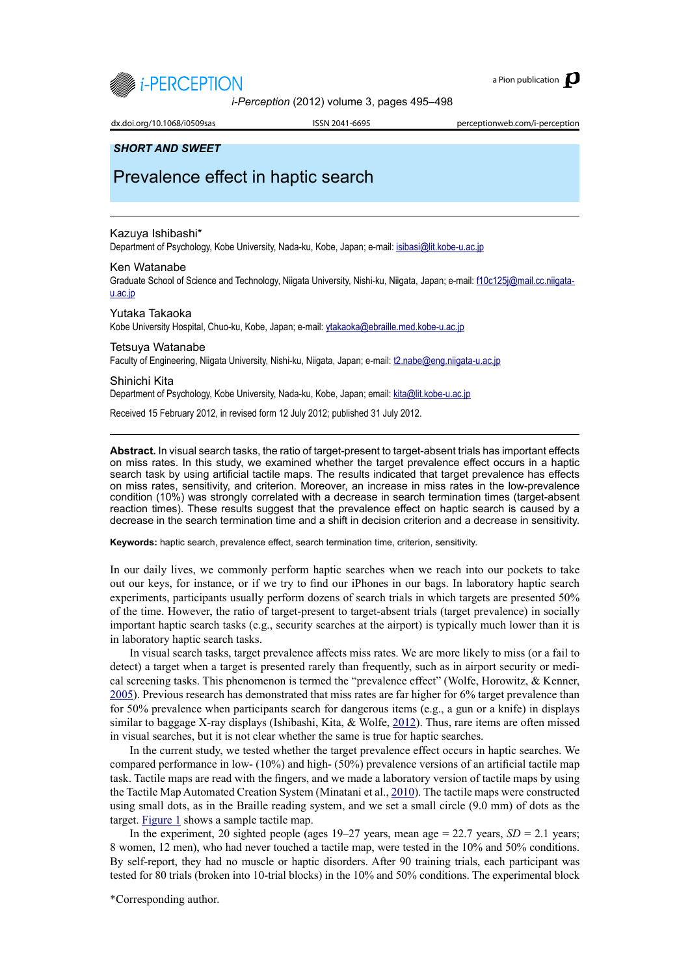

a Pion publication

*i-Perception* (2012) volume 3, pages 495–498

dx.doi.org/10.1068/i0509sas ISSN 2041-6695 perceptionweb.com/i-perception

# *SHORT AND SWEET*

# Prevalence effect in haptic search

### Kazuya Ishibashi\*

Department of Psychology, Kobe University, Nada-ku, Kobe, Japan; e-mail: [isibasi@lit.kobe-u.ac.jp](mailto:?subject=)

#### Ken Watanabe

Graduate School of Science and Technology, Niigata University, Nishi-ku, Niigata, Japan; e-mail: [f10c125j@mail.cc.niigata](mailto:f10c125j%40mail.cc.niigata-u.ac.jp?subject=)[u.ac.jp](mailto:f10c125j%40mail.cc.niigata-u.ac.jp?subject=)

Yutaka Takaoka Kobe University Hospital, Chuo-ku, Kobe, Japan; e-mail: [ytakaoka@ebraille.med.kobe-u.ac.jp](mailto:f10c125j%40mail.cc.niigata-u.ac.jp?subject=)

# Tetsuya Watanabe

Faculty of Engineering, Niigata University, Nishi-ku, Niigata, Japan; e-mail: [t2.nabe@eng.niigata-u.ac.jp](mailto:f10c125j%40mail.cc.niigata-u.ac.jp?subject=)

#### Shinichi Kita

Department of Psychology, Kobe University, Nada-ku, Kobe, Japan; email: [kita@lit.kobe-u.ac.jp](mailto:f10c125j%40mail.cc.niigata-u.ac.jp?subject=)

Received 15 February 2012, in revised form 12 July 2012; published 31 July 2012.

**Abstract.** In visual search tasks, the ratio of target-present to target-absent trials has important effects on miss rates. In this study, we examined whether the target prevalence effect occurs in a haptic search task by using artificial tactile maps. The results indicated that target prevalence has effects on miss rates, sensitivity, and criterion. Moreover, an increase in miss rates in the low-prevalence condition (10%) was strongly correlated with a decrease in search termination times (target-absent reaction times). These results suggest that the prevalence effect on haptic search is caused by a decrease in the search termination time and a shift in decision criterion and a decrease in sensitivity.

**Keywords:** haptic search, prevalence effect, search termination time, criterion, sensitivity.

In our daily lives, we commonly perform haptic searches when we reach into our pockets to take out our keys, for instance, or if we try to find our iPhones in our bags. In laboratory haptic search experiments, participants usually perform dozens of search trials in which targets are presented 50% of the time. However, the ratio of target-present to target-absent trials (target prevalence) in socially important haptic search tasks (e.g., security searches at the airport) is typically much lower than it is in laboratory haptic search tasks.

In visual search tasks, target prevalence affects miss rates. We are more likely to miss (or a fail to detect) a target when a target is presented rarely than frequently, such as in airport security or medical screening tasks. This phenomenon is termed the "prevalence effect" (Wolfe, Horowitz, & Kenner, [2005\)](#page-3-0). Previous research has demonstrated that miss rates are far higher for 6% target prevalence than for 50% prevalence when participants search for dangerous items (e.g., a gun or a knife) in displays similar to baggage X-ray displays (Ishibashi, Kita, & Wolfe, [2012](#page-3-1)). Thus, rare items are often missed in visual searches, but it is not clear whether the same is true for haptic searches.

In the current study, we tested whether the target prevalence effect occurs in haptic searches. We compared performance in low- (10%) and high- (50%) prevalence versions of an artificial tactile map task. Tactile maps are read with the fingers, and we made a laboratory version of tactile maps by using the Tactile Map Automated Creation System (Minatani et al., [2010\)](#page-3-2). The tactile maps were constructed using small dots, as in the Braille reading system, and we set a small circle (9.0 mm) of dots as the target. Figure  $1$  shows a sample tactile map.

In the experiment, 20 sighted people (ages  $19-27$  years, mean age  $= 22.7$  years,  $SD = 2.1$  years; 8 women, 12 men), who had never touched a tactile map, were tested in the 10% and 50% conditions. By self-report, they had no muscle or haptic disorders. After 90 training trials, each participant was tested for 80 trials (broken into 10-trial blocks) in the 10% and 50% conditions. The experimental block

\*Corresponding author.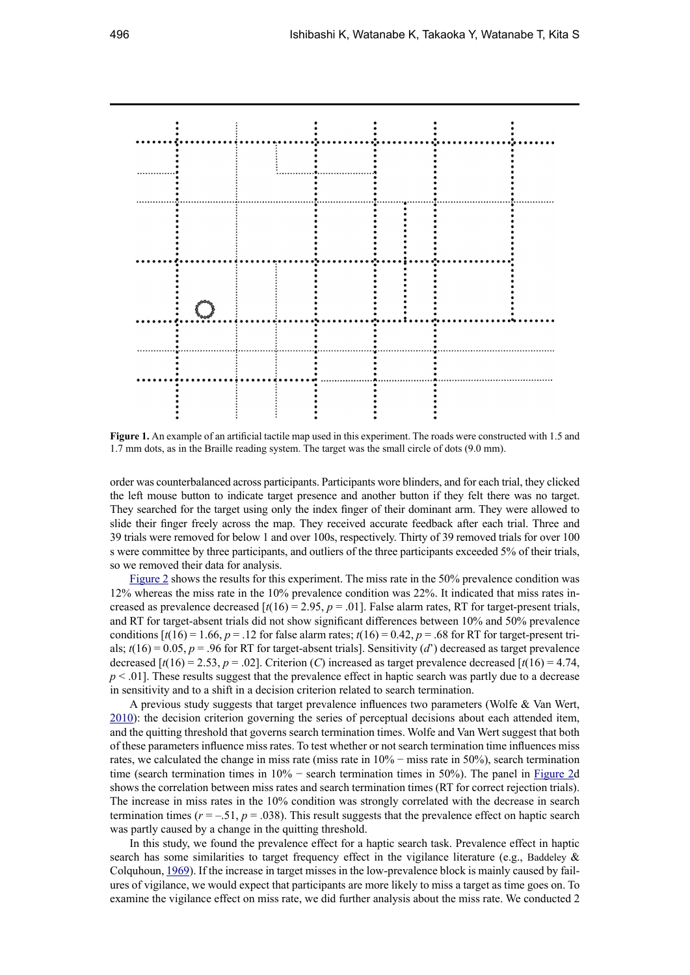<span id="page-1-0"></span>

**Figure 1.** An example of an artificial tactile map used in this experiment. The roads were constructed with 1.5 and 1.7 mm dots, as in the Braille reading system. The target was the small circle of dots (9.0 mm).

order was counterbalanced across participants. Participants wore blinders, and for each trial, they clicked the left mouse button to indicate target presence and another button if they felt there was no target. They searched for the target using only the index finger of their dominant arm. They were allowed to slide their finger freely across the map. They received accurate feedback after each trial. Three and 39 trials were removed for below 1 and over 100s, respectively. Thirty of 39 removed trials for over 100 s were committee by three participants, and outliers of the three participants exceeded 5% of their trials, so we removed their data for analysis.

[Figure 2](#page-2-0) shows the results for this experiment. The miss rate in the 50% prevalence condition was 12% whereas the miss rate in the 10% prevalence condition was 22%. It indicated that miss rates increased as prevalence decreased  $[t(16) = 2.95, p = .01]$ . False alarm rates, RT for target-present trials, and RT for target-absent trials did not show significant differences between 10% and 50% prevalence conditions  $[t(16) = 1.66, p = .12$  for false alarm rates;  $t(16) = 0.42, p = .68$  for RT for target-present trials;  $t(16) = 0.05$ ,  $p = .96$  for RT for target-absent trials]. Sensitivity (*d*') decreased as target prevalence decreased  $\lceil t(16) = 2.53$ ,  $p = .02$ . Criterion (*C*) increased as target prevalence decreased  $\lceil t(16) = 4.74$ ,  $p < .01$ . These results suggest that the prevalence effect in haptic search was partly due to a decrease in sensitivity and to a shift in a decision criterion related to search termination.

A previous study suggests that target prevalence influences two parameters (Wolfe & Van Wert, [2010\)](#page-3-3): the decision criterion governing the series of perceptual decisions about each attended item, and the quitting threshold that governs search termination times. Wolfe and Van Wert suggest that both of these parameters influence miss rates. To test whether or not search termination time influences miss rates, we calculated the change in miss rate (miss rate in 10% − miss rate in 50%), search termination time (search termination times in 10% − search termination times in 50%). The panel in [Figure 2](#page-2-0)d shows the correlation between miss rates and search termination times (RT for correct rejection trials). The increase in miss rates in the 10% condition was strongly correlated with the decrease in search termination times  $(r = -.51, p = .038)$ . This result suggests that the prevalence effect on haptic search was partly caused by a change in the quitting threshold.

In this study, we found the prevalence effect for a haptic search task. Prevalence effect in haptic search has some similarities to target frequency effect in the vigilance literature (e.g., Baddeley  $\&$ Colquhoun, [1969\)](#page-2-1). If the increase in target misses in the low-prevalence block is mainly caused by failures of vigilance, we would expect that participants are more likely to miss a target as time goes on. To examine the vigilance effect on miss rate, we did further analysis about the miss rate. We conducted 2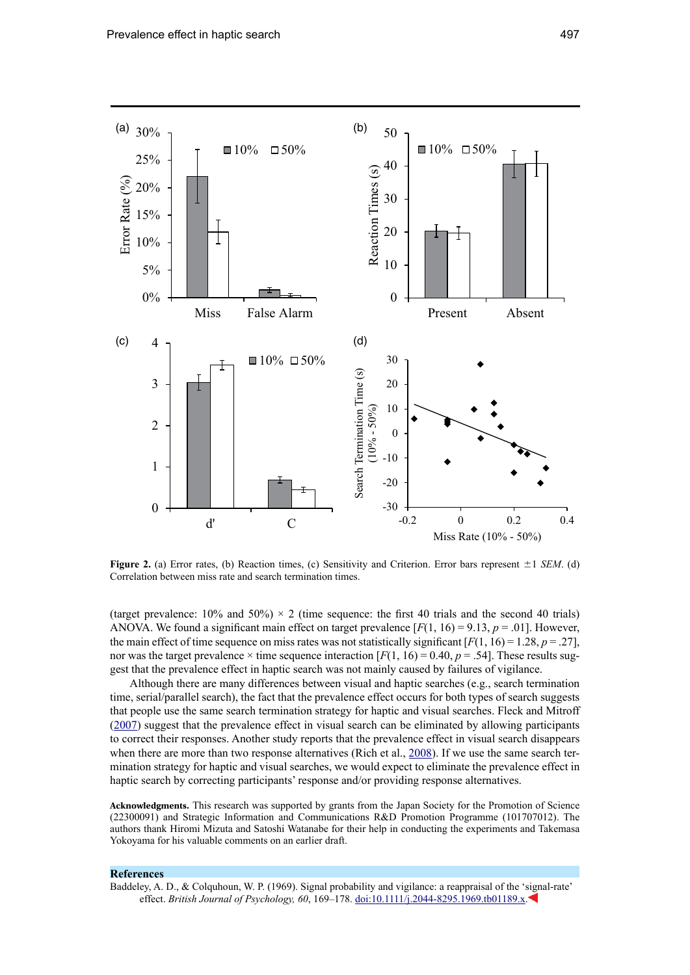<span id="page-2-0"></span>

**Figure 2.** (a) Error rates, (b) Reaction times, (c) Sensitivity and Criterion. Error bars represent  $\pm 1$  *SEM*. (d) Correlation between miss rate and search termination times.

(target prevalence:  $10\%$  and  $50\%) \times 2$  (time sequence: the first 40 trials and the second 40 trials) ANOVA. We found a significant main effect on target prevalence  $[F(1, 16) = 9.13, p = .01]$ . However, the main effect of time sequence on miss rates was not statistically significant  $[F(1, 16) = 1.28, p = .27]$ , nor was the target prevalence  $\times$  time sequence interaction [ $F(1, 16) = 0.40$ ,  $p = .54$ ]. These results suggest that the prevalence effect in haptic search was not mainly caused by failures of vigilance.

Although there are many differences between visual and haptic searches (e.g., search termination time, serial/parallel search), the fact that the prevalence effect occurs for both types of search suggests that people use the same search termination strategy for haptic and visual searches. Fleck and Mitroff [\(2007](#page-3-4)) suggest that the prevalence effect in visual search can be eliminated by allowing participants to correct their responses. Another study reports that the prevalence effect in visual search disappears when there are more than two response alternatives (Rich et al., [2008\)](#page-3-5). If we use the same search termination strategy for haptic and visual searches, we would expect to eliminate the prevalence effect in haptic search by correcting participants' response and/or providing response alternatives.

**Acknowledgments.** This research was supported by grants from the Japan Society for the Promotion of Science (22300091) and Strategic Information and Communications R&D Promotion Programme (101707012). The authors thank Hiromi Mizuta and Satoshi Watanabe for their help in conducting the experiments and Takemasa Yokoyama for his valuable comments on an earlier draft.

## **References**

<span id="page-2-1"></span>Baddeley, A. D., & Colquhoun, W. P. (1969). Signal probability and vigilance: a reappraisal of the 'signal-rate' effect. *British Journal of Psychology, 60*, 169–178. [doi:10.1111/j.2044-8295.1969.tb01189.x](http://dx.doi.org/10.1111/j.2044-8295.1969.tb01189.x).